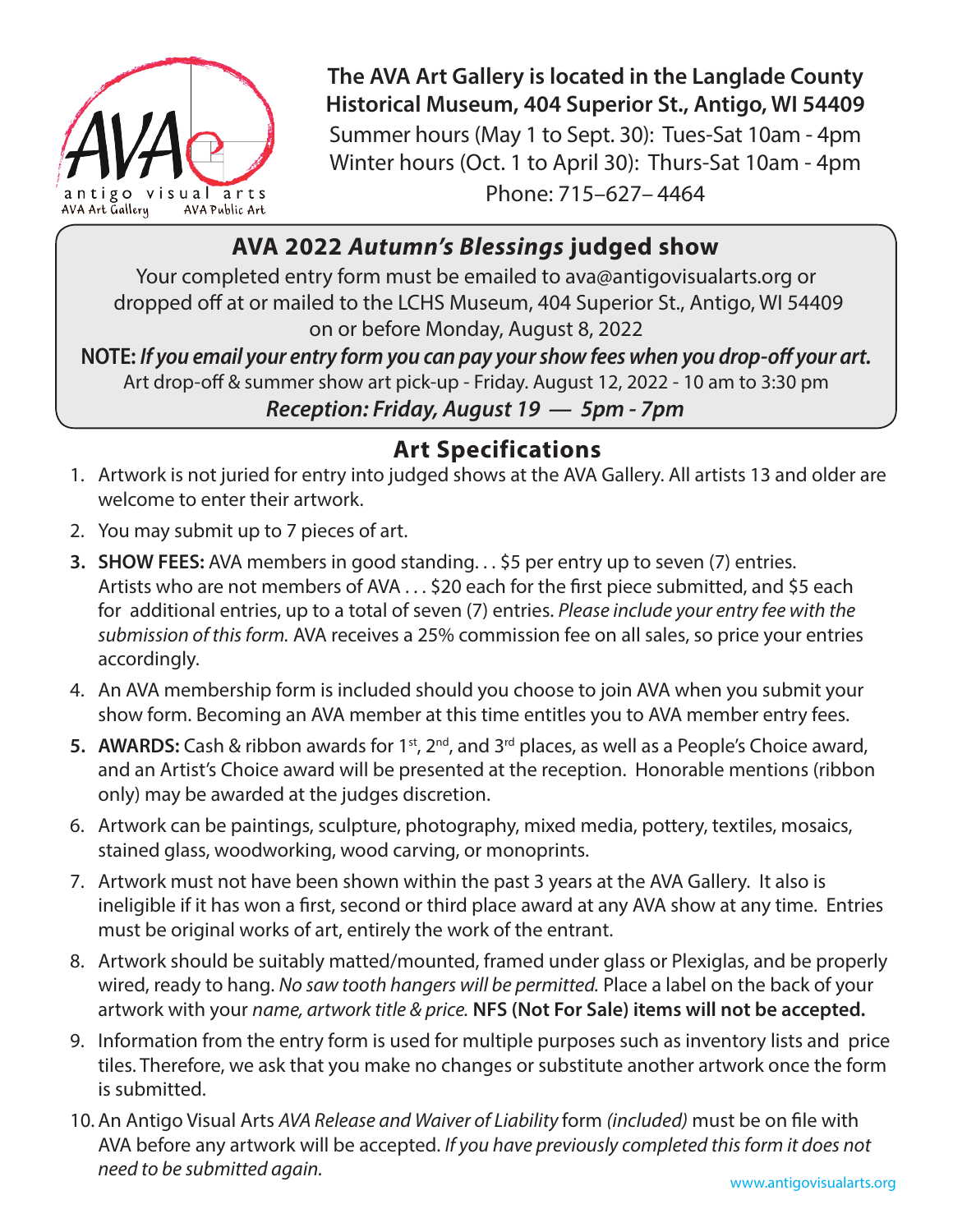

**The AVA Art Gallery is located in the Langlade County Historical Museum, 404 Superior St., Antigo, WI 54409** Summer hours (May 1 to Sept. 30): Tues-Sat 10am - 4pm Winter hours (Oct. 1 to April 30): Thurs-Sat 10am - 4pm Phone: 715–627– 4464

## **AVA 2022** *Autumn's Blessings* **judged show**

Your completed entry form must be emailed to ava@antigovisualarts.org or dropped off at or mailed to the LCHS Museum, 404 Superior St., Antigo, WI 54409 on or before Monday, August 8, 2022

**NOTE:** *If you email your entry form you can pay your show fees when you drop-off your art.* Art drop-off & summer show art pick-up - Friday. August 12, 2022 - 10 am to 3:30 pm *Reception: Friday, August 19 — 5pm - 7pm*

## **Art Specifications**

- 1. Artwork is not juried for entry into judged shows at the AVA Gallery. All artists 13 and older are welcome to enter their artwork.
- 2. You may submit up to 7 pieces of art.
- **3. SHOW FEES:** AVA members in good standing. . . \$5 per entry up to seven (7) entries. Artists who are not members of AVA . . . \$20 each for the first piece submitted, and \$5 each for additional entries, up to a total of seven (7) entries. *Please include your entry fee with the submission of this form.* AVA receives a 25% commission fee on all sales, so price your entries accordingly.
- 4. An AVA membership form is included should you choose to join AVA when you submit your show form. Becoming an AVA member at this time entitles you to AVA member entry fees.
- **5. AWARDS:** Cash & ribbon awards for 1<sup>st</sup>, 2<sup>nd</sup>, and 3<sup>rd</sup> places, as well as a People's Choice award, and an Artist's Choice award will be presented at the reception. Honorable mentions (ribbon only) may be awarded at the judges discretion.
- 6. Artwork can be paintings, sculpture, photography, mixed media, pottery, textiles, mosaics, stained glass, woodworking, wood carving, or monoprints.
- 7. Artwork must not have been shown within the past 3 years at the AVA Gallery. It also is ineligible if it has won a first, second or third place award at any AVA show at any time. Entries must be original works of art, entirely the work of the entrant.
- 8. Artwork should be suitably matted/mounted, framed under glass or Plexiglas, and be properly wired, ready to hang. *No saw tooth hangers will be permitted.* Place a label on the back of your artwork with your *name, artwork title & price.* **NFS (Not For Sale) items will not be accepted.**
- 9. Information from the entry form is used for multiple purposes such as inventory lists and price tiles. Therefore, we ask that you make no changes or substitute another artwork once the form is submitted.
- 10.An Antigo Visual Arts *AVA Release and Waiver of Liability* form *(included)* must be on file with AVA before any artwork will be accepted. *If you have previously completed this form it does not need to be submitted again.*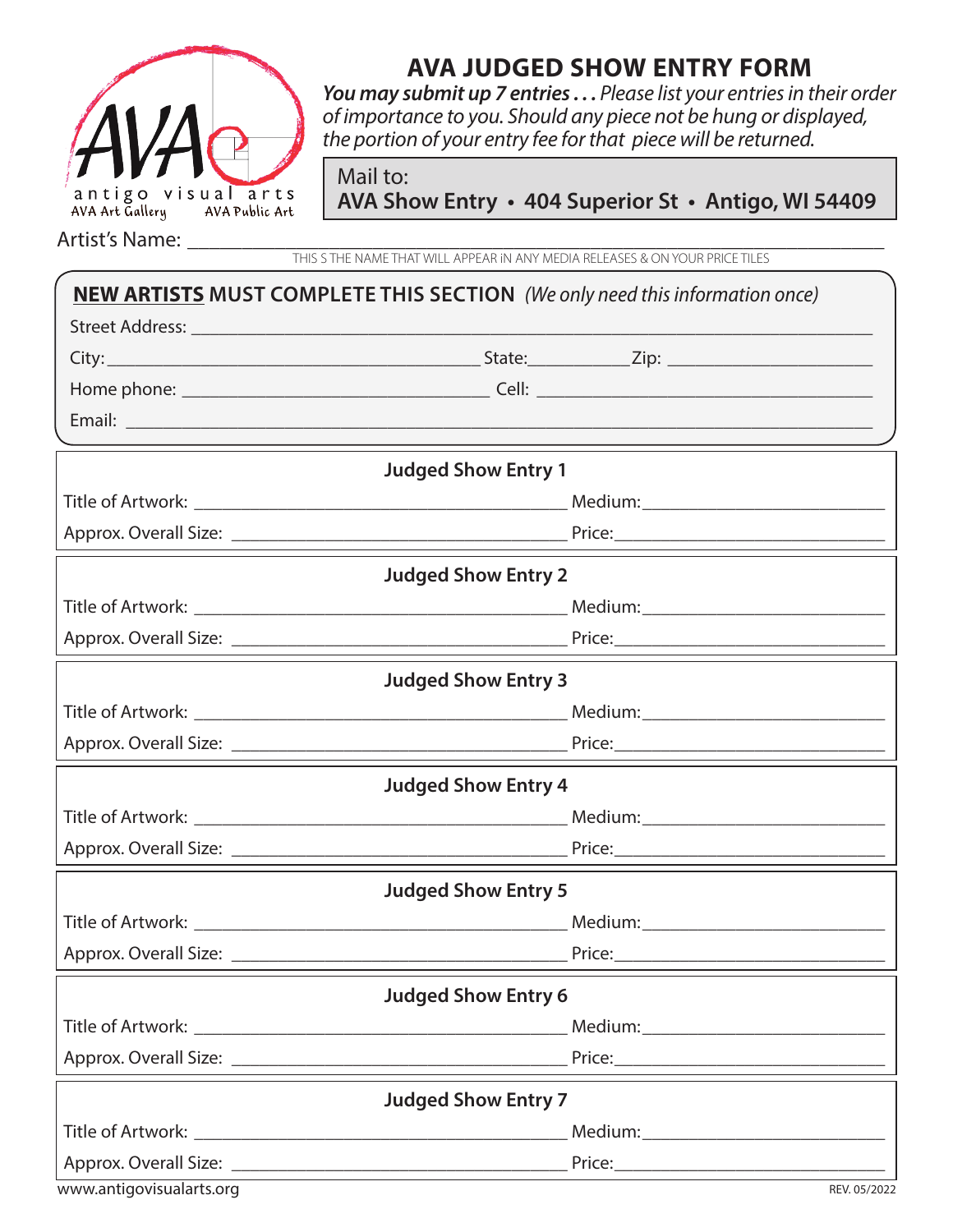

## **AVA JUDGED SHOW ENTRY FORM**

*You may submit up 7 entries . . . Please list your entries in their order of importance to you. Should any piece not be hung or displayed, the portion of your entry fee for that piece will be returned.*

Mail to:

 **AVA Show Entry • 404 Superior St • Antigo, WI 54409**

Artist's Name:

THIS S THE NAME THAT WILL APPEAR iN ANY MEDIA RELEASES & ON YOUR PRICE TILES

| <b>NEW ARTISTS MUST COMPLETE THIS SECTION</b> (We only need this information once) |                            |  |  |
|------------------------------------------------------------------------------------|----------------------------|--|--|
|                                                                                    |                            |  |  |
|                                                                                    |                            |  |  |
|                                                                                    |                            |  |  |
|                                                                                    |                            |  |  |
|                                                                                    | <b>Judged Show Entry 1</b> |  |  |
|                                                                                    |                            |  |  |
|                                                                                    |                            |  |  |
|                                                                                    | <b>Judged Show Entry 2</b> |  |  |
|                                                                                    |                            |  |  |
|                                                                                    |                            |  |  |
|                                                                                    | <b>Judged Show Entry 3</b> |  |  |
|                                                                                    |                            |  |  |
|                                                                                    |                            |  |  |
|                                                                                    | <b>Judged Show Entry 4</b> |  |  |
|                                                                                    |                            |  |  |
|                                                                                    |                            |  |  |
|                                                                                    | <b>Judged Show Entry 5</b> |  |  |
|                                                                                    |                            |  |  |
|                                                                                    |                            |  |  |
|                                                                                    | <b>Judged Show Entry 6</b> |  |  |
|                                                                                    |                            |  |  |
|                                                                                    |                            |  |  |
|                                                                                    | <b>Judged Show Entry 7</b> |  |  |
|                                                                                    |                            |  |  |
|                                                                                    |                            |  |  |
| www.antigovisualarts.org                                                           | REV. 05/2022               |  |  |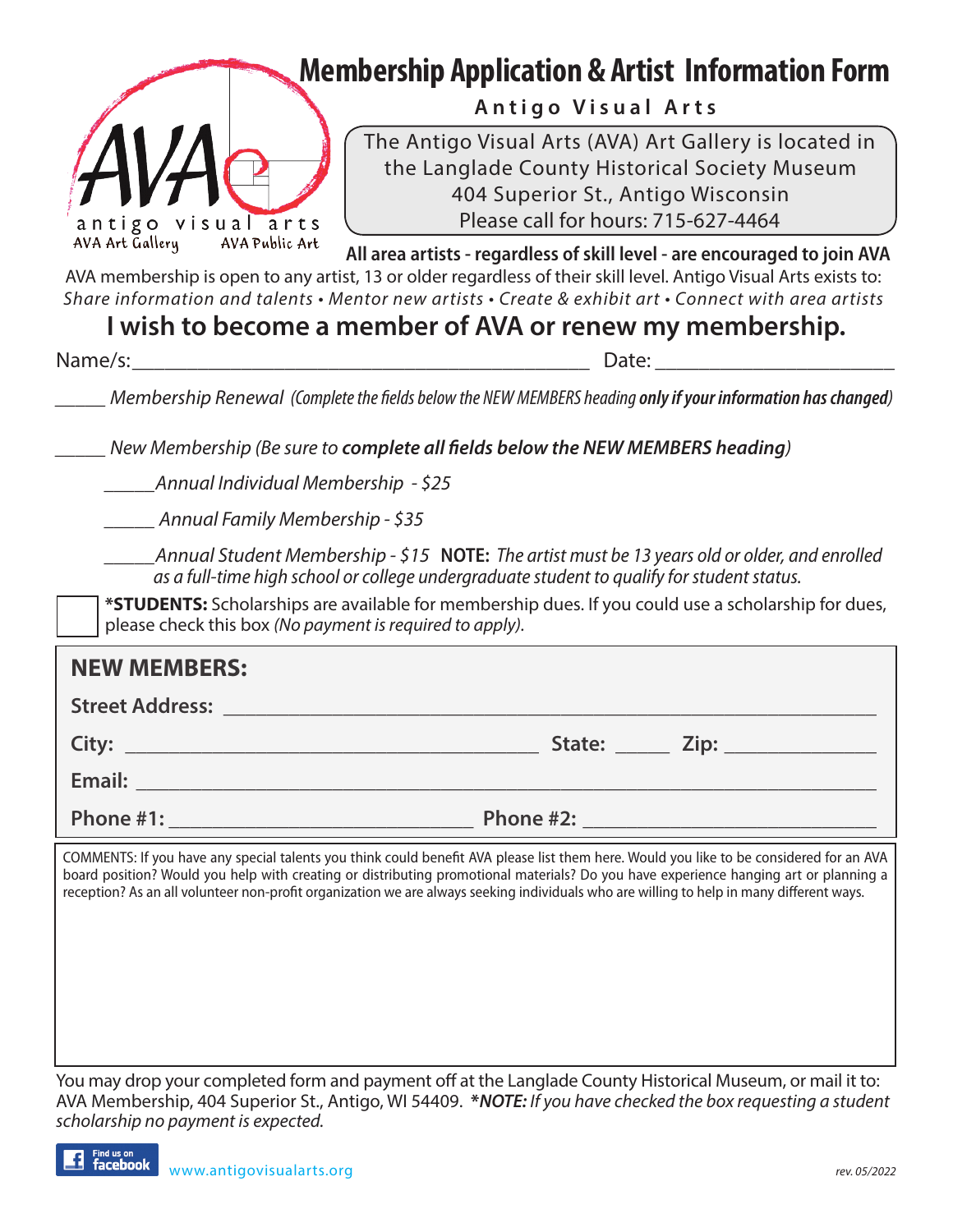|                                     | <b>Membership Application &amp; Artist Information Form</b>                                                                                                                                                                                                                                                                                                                                                                 |
|-------------------------------------|-----------------------------------------------------------------------------------------------------------------------------------------------------------------------------------------------------------------------------------------------------------------------------------------------------------------------------------------------------------------------------------------------------------------------------|
|                                     | Antigo Visual Arts                                                                                                                                                                                                                                                                                                                                                                                                          |
| antigo visual arts                  | The Antigo Visual Arts (AVA) Art Gallery is located in<br>the Langlade County Historical Society Museum<br>404 Superior St., Antigo Wisconsin<br>Please call for hours: 715-627-4464                                                                                                                                                                                                                                        |
| AVA Art Gallery<br>AVA Public Art   | All area artists - regardless of skill level - are encouraged to join AVA<br>AVA membership is open to any artist, 13 or older regardless of their skill level. Antigo Visual Arts exists to:<br>Share information and talents • Mentor new artists • Create & exhibit art • Connect with area artists                                                                                                                      |
| Name/s:                             | I wish to become a member of AVA or renew my membership.<br>Date:                                                                                                                                                                                                                                                                                                                                                           |
|                                     | Membership Renewal (Complete the fields below the NEW MEMBERS heading only if your information has changed)                                                                                                                                                                                                                                                                                                                 |
|                                     | New Membership (Be sure to complete all fields below the NEW MEMBERS heading)                                                                                                                                                                                                                                                                                                                                               |
| Annual Individual Membership - \$25 |                                                                                                                                                                                                                                                                                                                                                                                                                             |
| ___ Annual Family Membership - \$35 |                                                                                                                                                                                                                                                                                                                                                                                                                             |
|                                     | Annual Student Membership - \$15 <b>NOTE:</b> The artist must be 13 years old or older, and enrolled<br>as a full-time high school or college undergraduate student to qualify for student status.<br>*STUDENTS: Scholarships are available for membership dues. If you could use a scholarship for dues,<br>please check this box (No payment is required to apply).                                                       |
| <b>NEW MEMBERS:</b>                 |                                                                                                                                                                                                                                                                                                                                                                                                                             |
| <b>Street Address:</b>              |                                                                                                                                                                                                                                                                                                                                                                                                                             |
| City:                               | State: <u>Zip:</u>                                                                                                                                                                                                                                                                                                                                                                                                          |
| Email:                              |                                                                                                                                                                                                                                                                                                                                                                                                                             |
|                                     |                                                                                                                                                                                                                                                                                                                                                                                                                             |
|                                     | COMMENTS: If you have any special talents you think could benefit AVA please list them here. Would you like to be considered for an AVA<br>board position? Would you help with creating or distributing promotional materials? Do you have experience hanging art or planning a<br>reception? As an all volunteer non-profit organization we are always seeking individuals who are willing to help in many different ways. |

You may drop your completed form and payment off at the Langlade County Historical Museum, or mail it to: AVA Membership, 404 Superior St., Antigo, WI 54409. **\****NOTE: If you have checked the box requesting a student scholarship no payment is expected.*

Find us on £